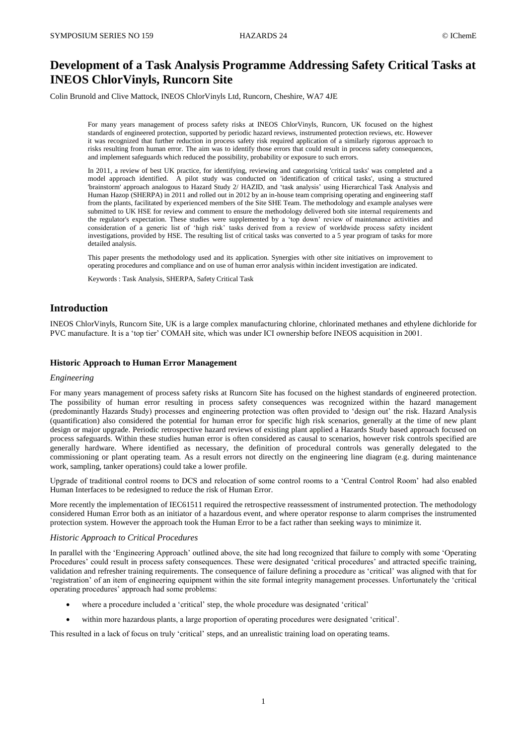# **Development of a Task Analysis Programme Addressing Safety Critical Tasks at INEOS ChlorVinyls, Runcorn Site**

Colin Brunold and Clive Mattock, INEOS ChlorVinyls Ltd, Runcorn, Cheshire, WA7 4JE

For many years management of process safety risks at INEOS ChlorVinyls, Runcorn, UK focused on the highest standards of engineered protection, supported by periodic hazard reviews, instrumented protection reviews, etc. However it was recognized that further reduction in process safety risk required application of a similarly rigorous approach to risks resulting from human error. The aim was to identify those errors that could result in process safety consequences, and implement safeguards which reduced the possibility, probability or exposure to such errors.

In 2011, a review of best UK practice, for identifying, reviewing and categorising 'critical tasks' was completed and a model approach identified. A pilot study was conducted on 'identification of critical tasks', using a structured 'brainstorm' approach analogous to Hazard Study 2/ HAZID, and 'task analysis' using Hierarchical Task Analysis and Human Hazop (SHERPA) in 2011 and rolled out in 2012 by an in-house team comprising operating and engineering staff from the plants, facilitated by experienced members of the Site SHE Team. The methodology and example analyses were submitted to UK HSE for review and comment to ensure the methodology delivered both site internal requirements and the regulator's expectation. These studies were supplemented by a 'top down' review of maintenance activities and consideration of a generic list of 'high risk' tasks derived from a review of worldwide process safety incident investigations, provided by HSE. The resulting list of critical tasks was converted to a 5 year program of tasks for more detailed analysis.

This paper presents the methodology used and its application. Synergies with other site initiatives on improvement to operating procedures and compliance and on use of human error analysis within incident investigation are indicated.

Keywords : Task Analysis, SHERPA, Safety Critical Task

## **Introduction**

INEOS ChlorVinyls, Runcorn Site, UK is a large complex manufacturing chlorine, chlorinated methanes and ethylene dichloride for PVC manufacture. It is a 'top tier' COMAH site, which was under ICI ownership before INEOS acquisition in 2001.

## **Historic Approach to Human Error Management**

#### *Engineering*

For many years management of process safety risks at Runcorn Site has focused on the highest standards of engineered protection. The possibility of human error resulting in process safety consequences was recognized within the hazard management (predominantly Hazards Study) processes and engineering protection was often provided to 'design out' the risk. Hazard Analysis (quantification) also considered the potential for human error for specific high risk scenarios, generally at the time of new plant design or major upgrade. Periodic retrospective hazard reviews of existing plant applied a Hazards Study based approach focused on process safeguards. Within these studies human error is often considered as causal to scenarios, however risk controls specified are generally hardware. Where identified as necessary, the definition of procedural controls was generally delegated to the commissioning or plant operating team. As a result errors not directly on the engineering line diagram (e.g. during maintenance work, sampling, tanker operations) could take a lower profile.

Upgrade of traditional control rooms to DCS and relocation of some control rooms to a 'Central Control Room' had also enabled Human Interfaces to be redesigned to reduce the risk of Human Error.

More recently the implementation of IEC61511 required the retrospective reassessment of instrumented protection. The methodology considered Human Error both as an initiator of a hazardous event, and where operator response to alarm comprises the instrumented protection system. However the approach took the Human Error to be a fact rather than seeking ways to minimize it.

#### *Historic Approach to Critical Procedures*

In parallel with the 'Engineering Approach' outlined above, the site had long recognized that failure to comply with some 'Operating Procedures' could result in process safety consequences. These were designated 'critical procedures' and attracted specific training, validation and refresher training requirements. The consequence of failure defining a procedure as 'critical' was aligned with that for 'registration' of an item of engineering equipment within the site formal integrity management processes. Unfortunately the 'critical operating procedures' approach had some problems:

- where a procedure included a 'critical' step, the whole procedure was designated 'critical'
- within more hazardous plants, a large proportion of operating procedures were designated 'critical'.

This resulted in a lack of focus on truly 'critical' steps, and an unrealistic training load on operating teams.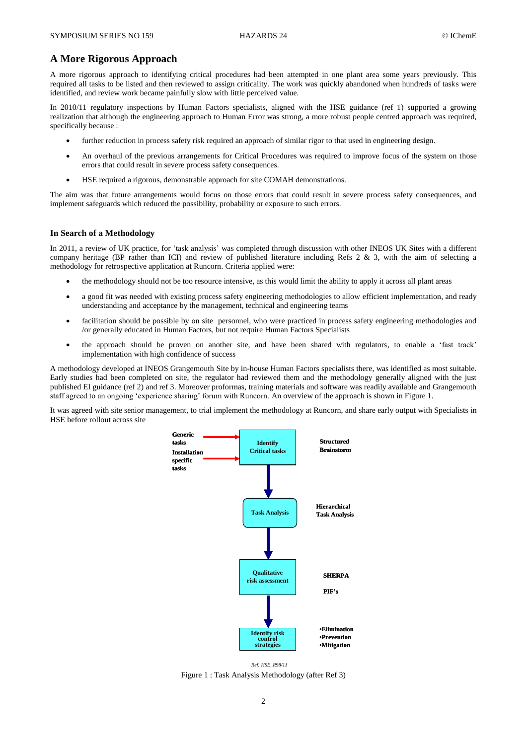## **A More Rigorous Approach**

A more rigorous approach to identifying critical procedures had been attempted in one plant area some years previously. This required all tasks to be listed and then reviewed to assign criticality. The work was quickly abandoned when hundreds of tasks were identified, and review work became painfully slow with little perceived value.

In 2010/11 regulatory inspections by Human Factors specialists, aligned with the HSE guidance (ref 1) supported a growing realization that although the engineering approach to Human Error was strong, a more robust people centred approach was required, specifically because :

- further reduction in process safety risk required an approach of similar rigor to that used in engineering design.
- An overhaul of the previous arrangements for Critical Procedures was required to improve focus of the system on those errors that could result in severe process safety consequences.
- HSE required a rigorous, demonstrable approach for site COMAH demonstrations.

The aim was that future arrangements would focus on those errors that could result in severe process safety consequences, and implement safeguards which reduced the possibility, probability or exposure to such errors.

## **In Search of a Methodology**

In 2011, a review of UK practice, for 'task analysis' was completed through discussion with other INEOS UK Sites with a different company heritage (BP rather than ICI) and review of published literature including Refs 2 & 3, with the aim of selecting a methodology for retrospective application at Runcorn. Criteria applied were:

- the methodology should not be too resource intensive, as this would limit the ability to apply it across all plant areas
- a good fit was needed with existing process safety engineering methodologies to allow efficient implementation, and ready understanding and acceptance by the management, technical and engineering teams
- facilitation should be possible by on site personnel, who were practiced in process safety engineering methodologies and /or generally educated in Human Factors, but not require Human Factors Specialists
- the approach should be proven on another site, and have been shared with regulators, to enable a 'fast track' implementation with high confidence of success

A methodology developed at INEOS Grangemouth Site by in-house Human Factors specialists there, was identified as most suitable. Early studies had been completed on site, the regulator had reviewed them and the methodology generally aligned with the just published EI guidance (ref 2) and ref 3. Moreover proformas, training materials and software was readily available and Grangemouth staff agreed to an ongoing 'experience sharing' forum with Runcorn. An overview of the approach is shown in Figure 1.

It was agreed with site senior management, to trial implement the methodology at Runcorn, and share early output with Specialists in HSE before rollout across site



Figure 1 : Task Analysis Methodology (after Ref 3) *Ref: HSE, R98/11*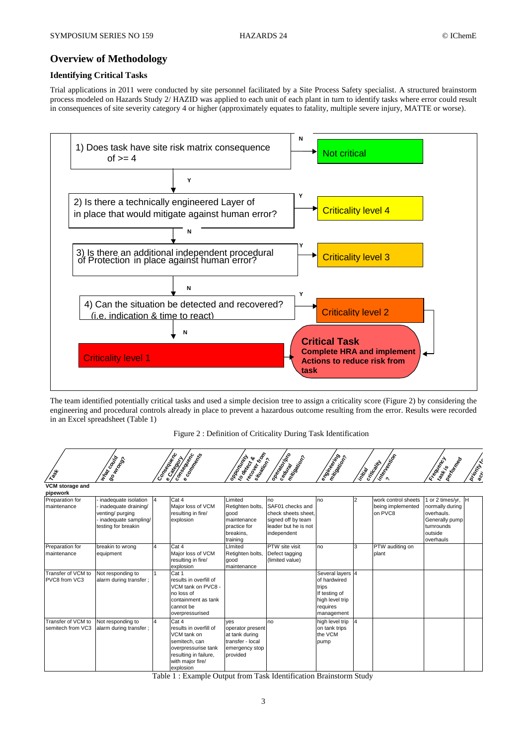## **Overview of Methodology**

## **Identifying Critical Tasks**

Trial applications in 2011 were conducted by site personnel facilitated by a Site Process Safety specialist. A structured brainstorm process modeled on Hazards Study 2/ HAZID was applied to each unit of each plant in turn to identify tasks where error could result in consequences of site severity category 4 or higher (approximately equates to fatality, multiple severe injury, MATTE or worse).



The team identified potentially critical tasks and used a simple decision tree to assign a criticality score (Figure 2) by considering the engineering and procedural controls already in place to prevent a hazardous outcome resulting from the error. Results were recorded in an Excel spreadsheet (Table 1)

Figure 2 : Definition of Criticality During Task Identification

| $x_0^*$                                 | ISO NO DO<br>Marcocopta                                                                                        | Consegueda     | <b>Catalogical Catalogical Catalogical Catalogical Catalogical Catalogical Catalogical Catalogical Catalogical Ca</b>                            | <b>PROPRIMEDIAL PROPRIMED</b>                                                               | Paesday dos                                                                                                | e oringering                                                                                            | Intigal | Integration<br>Icritically                          | Freehold River                                                                                            | <b>Dispitul</b> |
|-----------------------------------------|----------------------------------------------------------------------------------------------------------------|----------------|--------------------------------------------------------------------------------------------------------------------------------------------------|---------------------------------------------------------------------------------------------|------------------------------------------------------------------------------------------------------------|---------------------------------------------------------------------------------------------------------|---------|-----------------------------------------------------|-----------------------------------------------------------------------------------------------------------|-----------------|
| VCM storage and<br>pipework             |                                                                                                                |                |                                                                                                                                                  |                                                                                             |                                                                                                            |                                                                                                         |         |                                                     |                                                                                                           |                 |
| Preparation for<br>maintenance          | inadequate isolation<br>inadequate draining/<br>venting/purging<br>inadequate sampling/<br>testing for breakin | I4             | Cat 4<br>Major loss of VCM<br>resulting in fire/<br>explosion                                                                                    | Limited<br>Retighten bolts,<br>qood<br>maintenance<br>practice for<br>breakins.<br>training | no<br>SAF01 checks and<br>check sheets sheet,<br>signed off by team<br>leader but he is not<br>independent | no                                                                                                      |         | work control sheets<br>being implemented<br>on PVC8 | 1 or 2 times/yr,<br>normally during<br>overhauls.<br>Generally pump<br>turnrounds<br>outside<br>overhauls |                 |
| Preparation for<br>maintenance          | breakin to wrong<br>equipment                                                                                  | $\overline{4}$ | Cat 4<br>Major loss of VCM<br>resulting in fire/<br>explosion                                                                                    | LImited<br>Retighten bolts,<br>qood<br>maintenance                                          | PTW site visit<br>Defect tagging<br>(limited value)                                                        | no                                                                                                      | 3       | PTW auditing on<br>plant                            |                                                                                                           |                 |
| Transfer of VCM to<br>PVC8 from VC3     | Not responding to<br>alarm during transfer;                                                                    |                | Cat 1<br>results in overfill of<br>VCM tank on PVC8 -<br>no loss of<br>containment as tank<br>cannot be<br>overpressurised                       |                                                                                             |                                                                                                            | Several layers 4<br>of hardwired<br>trips<br>If testing of<br>high level trip<br>requires<br>management |         |                                                     |                                                                                                           |                 |
| Transfer of VCM to<br>semitech from VC3 | Not responding to<br>alarm during transfer;                                                                    | $\overline{a}$ | Cat 4<br>results in overfill of<br>VCM tank on<br>semitech, can<br>overpressurise tank<br>resulting in failure,<br>with major fire/<br>explosion | ves<br>operator present<br>at tank during<br>transfer - local<br>emergency stop<br>provided | no                                                                                                         | high level trip<br>on tank trips<br>the VCM<br>pump                                                     | 4       |                                                     |                                                                                                           |                 |

Table 1 : Example Output from Task Identification Brainstorm Study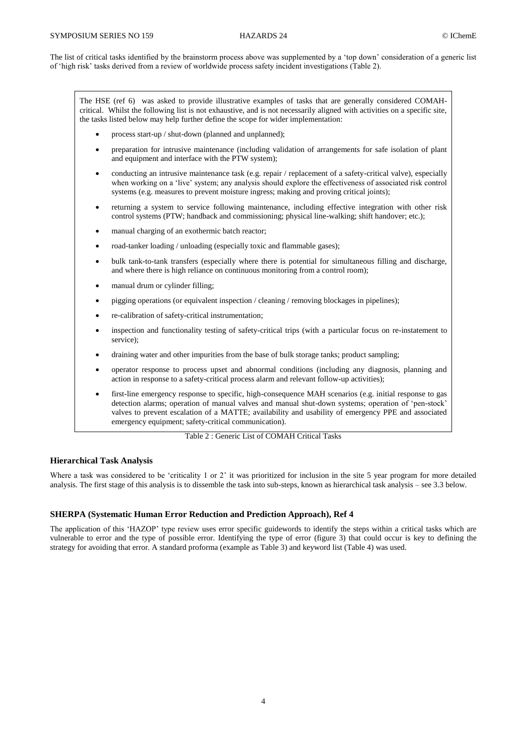The list of critical tasks identified by the brainstorm process above was supplemented by a 'top down' consideration of a generic list of 'high risk' tasks derived from a review of worldwide process safety incident investigations (Table 2).

The HSE (ref 6) was asked to provide illustrative examples of tasks that are generally considered COMAHcritical. Whilst the following list is not exhaustive, and is not necessarily aligned with activities on a specific site, the tasks listed below may help further define the scope for wider implementation:

- process start-up / shut-down (planned and unplanned);
- preparation for intrusive maintenance (including validation of arrangements for safe isolation of plant and equipment and interface with the PTW system);
- conducting an intrusive maintenance task (e.g. repair / replacement of a safety-critical valve), especially when working on a 'live' system; any analysis should explore the effectiveness of associated risk control systems (e.g. measures to prevent moisture ingress; making and proving critical joints);
- returning a system to service following maintenance, including effective integration with other risk control systems (PTW; handback and commissioning; physical line-walking; shift handover; etc.);
- manual charging of an exothermic batch reactor;
- road-tanker loading / unloading (especially toxic and flammable gases);
- bulk tank-to-tank transfers (especially where there is potential for simultaneous filling and discharge, and where there is high reliance on continuous monitoring from a control room);
- manual drum or cylinder filling;
- pigging operations (or equivalent inspection / cleaning / removing blockages in pipelines);
- re-calibration of safety-critical instrumentation;
- inspection and functionality testing of safety-critical trips (with a particular focus on re-instatement to service);
- draining water and other impurities from the base of bulk storage tanks; product sampling;
- operator response to process upset and abnormal conditions (including any diagnosis, planning and action in response to a safety-critical process alarm and relevant follow-up activities);
- first-line emergency response to specific, high-consequence MAH scenarios (e.g. initial response to gas detection alarms; operation of manual valves and manual shut-down systems; operation of 'pen-stock' valves to prevent escalation of a MATTE; availability and usability of emergency PPE and associated emergency equipment; safety-critical communication).

Table 2 : Generic List of COMAH Critical Tasks

#### **Hierarchical Task Analysis**

Where a task was considered to be 'criticality 1 or 2' it was prioritized for inclusion in the site 5 year program for more detailed analysis. The first stage of this analysis is to dissemble the task into sub-steps, known as hierarchical task analysis – see 3.3 below.

## **SHERPA (Systematic Human Error Reduction and Prediction Approach), Ref 4**

The application of this 'HAZOP' type review uses error specific guidewords to identify the steps within a critical tasks which are vulnerable to error and the type of possible error. Identifying the type of error (figure 3) that could occur is key to defining the strategy for avoiding that error. A standard proforma (example as Table 3) and keyword list (Table 4) was used.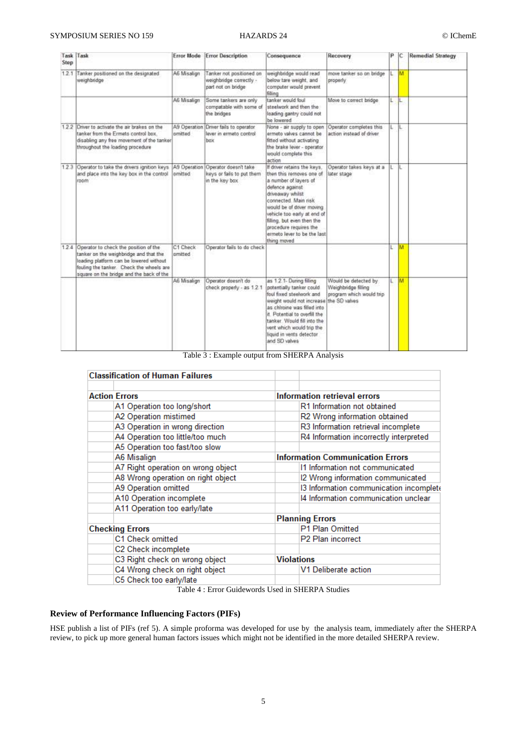| Step  | Task Task                                                                                                                                                                                                          | <b>Error Mode</b>       | <b>Error Description</b>                                                  | Consequence                                                                                                                                                                                                                                                                                                       | Recovery                                                                | p | IC  | <b>Remedial Strategy</b> |
|-------|--------------------------------------------------------------------------------------------------------------------------------------------------------------------------------------------------------------------|-------------------------|---------------------------------------------------------------------------|-------------------------------------------------------------------------------------------------------------------------------------------------------------------------------------------------------------------------------------------------------------------------------------------------------------------|-------------------------------------------------------------------------|---|-----|--------------------------|
|       | 1.2.1 Tanker positioned on the designated<br>weighbridge                                                                                                                                                           | A6 Misalign             | Tanker not positioned on<br>weighbridge correctly -<br>part not on bridge | weighbridge would read<br>below tare weight, and<br>computer would prevent.<br>filling                                                                                                                                                                                                                            | move tanker so on bridge<br>properly                                    | ι | M   |                          |
|       |                                                                                                                                                                                                                    | A6 Misalion             | Some tankers are only<br>compatable with some of<br>the bridges           | tanker would foul<br>steelwork and then the<br>loading gantry could not<br>be lowered                                                                                                                                                                                                                             | Move to correct bridge                                                  | L | L   |                          |
|       | 12.2 Driver to activate the air brakes on the<br>tanker from the Ermeto control box.<br>disabling any free movement of the tanker<br>throughout the loading procedure                                              | A9 Operation<br>amitted | Driver fails to operator<br>lever in ermato control<br>box                | None - air supply to open<br>ermeto valves cannot be<br>fitted without activating<br>the brake lever - operator<br>would complete this<br>action                                                                                                                                                                  | Operator completes this<br>action instead of driver                     | L |     |                          |
|       | 1.2.3 Operator to take the drivers ignition keys<br>and place into the key box in the control.<br>room                                                                                                             | A9 Operation<br>amitted | Operator doesn't take<br>keys or fails to put them<br>in the key box      | If driver retains the keys.<br>then this removes one of<br>a number of layers of<br>defence against<br>driveaway whilst<br>connected. Main risk<br>would be of driver moving<br>vehicle too early at end of<br>filling, but even then the<br>procedure requires the<br>ermeto lever to be the last<br>thing moved | Operator takes keys at a<br>later stage                                 |   | IL. |                          |
| 1.2.4 | Operator to check the position of the<br>tanker on the weighbridge and that the<br>loading platform can be lowered without<br>fouling the tanker. Check the wheels are<br>square on the bridge and the back of the | C1 Check<br>amitted     | Operator fails to do check                                                |                                                                                                                                                                                                                                                                                                                   |                                                                         |   | M   |                          |
|       |                                                                                                                                                                                                                    | A6 Misalign             | Operator doesn't do<br>check properly - as 1.2.1                          | as 1.2.1- Dunng filling<br>potentially tanker could<br>foul fixed steelwork and<br>weight would not increase the SD valves<br>as chiroine was filled into<br>it. Potential to overfill the<br>tanker. Would fill into the<br>vent which would trip the<br>liquid in vents detector<br>and SD valves               | Would be detected by<br>Weighbridge filling<br>program which would trip | Ľ | м   |                          |

Table 3 : Example output from SHERPA Analysis

| <b>Classification of Human Failures</b> |                                         |  |  |  |  |
|-----------------------------------------|-----------------------------------------|--|--|--|--|
| <b>Action Errors</b>                    | Information retrieval errors            |  |  |  |  |
| A1 Operation too long/short             | R1 Information not obtained             |  |  |  |  |
| A2 Operation mistimed                   | R2 Wrong information obtained           |  |  |  |  |
| A3 Operation in wrong direction         | R3 Information retrieval incomplete     |  |  |  |  |
| A4 Operation too little/too much        | R4 Information incorrectly interpreted  |  |  |  |  |
| A5 Operation too fast/too slow          |                                         |  |  |  |  |
| A6 Misalign                             | <b>Information Communication Errors</b> |  |  |  |  |
| A7 Right operation on wrong object      | 11 Information not communicated         |  |  |  |  |
| A8 Wrong operation on right object      | I2 Wrong information communicated       |  |  |  |  |
| A9 Operation omitted                    | 13 Information communication incomplete |  |  |  |  |
| A10 Operation incomplete                | 14 Information communication unclear    |  |  |  |  |
| A11 Operation too early/late            |                                         |  |  |  |  |
|                                         | <b>Planning Errors</b>                  |  |  |  |  |
| <b>Checking Errors</b>                  | P1 Plan Omitted                         |  |  |  |  |
| C1 Check omitted                        | P2 Plan incorrect                       |  |  |  |  |
| C2 Check incomplete                     |                                         |  |  |  |  |
| C3 Right check on wrong object          | <b>Violations</b>                       |  |  |  |  |
| C4 Wrong check on right object          | V1 Deliberate action                    |  |  |  |  |
| C5 Check too early/late                 |                                         |  |  |  |  |

Table 4 : Error Guidewords Used in SHERPA Studies

## **Review of Performance Influencing Factors (PIFs)**

HSE publish a list of PIFs (ref 5). A simple proforma was developed for use by the analysis team, immediately after the SHERPA review, to pick up more general human factors issues which might not be identified in the more detailed SHERPA review.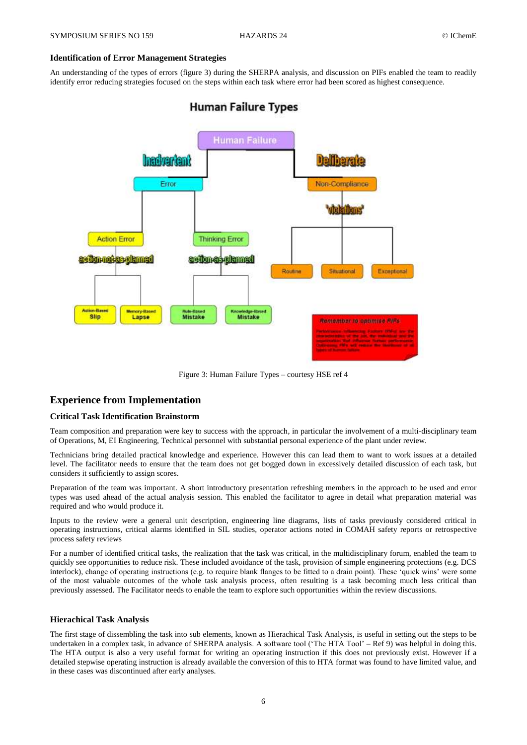## **Identification of Error Management Strategies**

An understanding of the types of errors (figure 3) during the SHERPA analysis, and discussion on PIFs enabled the team to readily identify error reducing strategies focused on the steps within each task where error had been scored as highest consequence.

# **Human Failure Types**



Figure 3: Human Failure Types – courtesy HSE ref 4

## **Experience from Implementation**

## **Critical Task Identification Brainstorm**

Team composition and preparation were key to success with the approach, in particular the involvement of a multi-disciplinary team of Operations, M, EI Engineering, Technical personnel with substantial personal experience of the plant under review.

Technicians bring detailed practical knowledge and experience. However this can lead them to want to work issues at a detailed level. The facilitator needs to ensure that the team does not get bogged down in excessively detailed discussion of each task, but considers it sufficiently to assign scores.

Preparation of the team was important. A short introductory presentation refreshing members in the approach to be used and error types was used ahead of the actual analysis session. This enabled the facilitator to agree in detail what preparation material was required and who would produce it.

Inputs to the review were a general unit description, engineering line diagrams, lists of tasks previously considered critical in operating instructions, critical alarms identified in SIL studies, operator actions noted in COMAH safety reports or retrospective process safety reviews

For a number of identified critical tasks, the realization that the task was critical, in the multidisciplinary forum, enabled the team to quickly see opportunities to reduce risk. These included avoidance of the task, provision of simple engineering protections (e.g. DCS interlock), change of operating instructions (e.g. to require blank flanges to be fitted to a drain point). These 'quick wins' were some of the most valuable outcomes of the whole task analysis process, often resulting is a task becoming much less critical than previously assessed. The Facilitator needs to enable the team to explore such opportunities within the review discussions.

#### **Hierachical Task Analysis**

The first stage of dissembling the task into sub elements, known as Hierachical Task Analysis, is useful in setting out the steps to be undertaken in a complex task, in advance of SHERPA analysis. A software tool ('The HTA Tool' – Ref 9) was helpful in doing this. The HTA output is also a very useful format for writing an operating instruction if this does not previously exist. However if a detailed stepwise operating instruction is already available the conversion of this to HTA format was found to have limited value, and in these cases was discontinued after early analyses.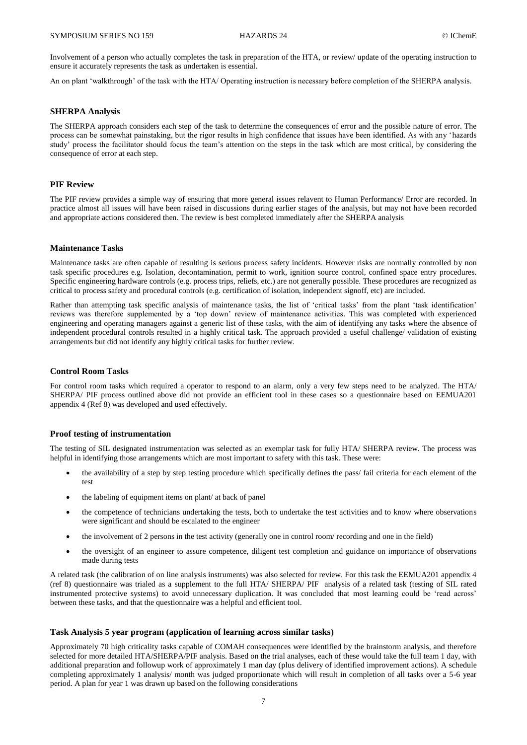Involvement of a person who actually completes the task in preparation of the HTA, or review/ update of the operating instruction to ensure it accurately represents the task as undertaken is essential.

An on plant 'walkthrough' of the task with the HTA/ Operating instruction is necessary before completion of the SHERPA analysis.

### **SHERPA Analysis**

The SHERPA approach considers each step of the task to determine the consequences of error and the possible nature of error. The process can be somewhat painstaking, but the rigor results in high confidence that issues have been identified. As with any 'hazards study' process the facilitator should focus the team's attention on the steps in the task which are most critical, by considering the consequence of error at each step.

## **PIF Review**

The PIF review provides a simple way of ensuring that more general issues relavent to Human Performance/ Error are recorded. In practice almost all issues will have been raised in discussions during earlier stages of the analysis, but may not have been recorded and appropriate actions considered then. The review is best completed immediately after the SHERPA analysis

## **Maintenance Tasks**

Maintenance tasks are often capable of resulting is serious process safety incidents. However risks are normally controlled by non task specific procedures e.g. Isolation, decontamination, permit to work, ignition source control, confined space entry procedures. Specific engineering hardware controls (e.g. process trips, reliefs, etc.) are not generally possible. These procedures are recognized as critical to process safety and procedural controls (e.g. certification of isolation, independent signoff, etc) are included.

Rather than attempting task specific analysis of maintenance tasks, the list of 'critical tasks' from the plant 'task identification' reviews was therefore supplemented by a 'top down' review of maintenance activities. This was completed with experienced engineering and operating managers against a generic list of these tasks, with the aim of identifying any tasks where the absence of independent procedural controls resulted in a highly critical task. The approach provided a useful challenge/ validation of existing arrangements but did not identify any highly critical tasks for further review.

## **Control Room Tasks**

For control room tasks which required a operator to respond to an alarm, only a very few steps need to be analyzed. The HTA/ SHERPA/ PIF process outlined above did not provide an efficient tool in these cases so a questionnaire based on EEMUA201 appendix 4 (Ref 8) was developed and used effectively.

#### **Proof testing of instrumentation**

The testing of SIL designated instrumentation was selected as an exemplar task for fully HTA/ SHERPA review. The process was helpful in identifying those arrangements which are most important to safety with this task. These were:

- the availability of a step by step testing procedure which specifically defines the pass/ fail criteria for each element of the test
- the labeling of equipment items on plant/ at back of panel
- the competence of technicians undertaking the tests, both to undertake the test activities and to know where observations were significant and should be escalated to the engineer
- the involvement of 2 persons in the test activity (generally one in control room/ recording and one in the field)
- the oversight of an engineer to assure competence, diligent test completion and guidance on importance of observations made during tests

A related task (the calibration of on line analysis instruments) was also selected for review. For this task the EEMUA201 appendix 4 (ref 8) questionnaire was trialed as a supplement to the full HTA/ SHERPA/ PIF analysis of a related task (testing of SIL rated instrumented protective systems) to avoid unnecessary duplication. It was concluded that most learning could be 'read across' between these tasks, and that the questionnaire was a helpful and efficient tool.

## **Task Analysis 5 year program (application of learning across similar tasks)**

Approximately 70 high criticality tasks capable of COMAH consequences were identified by the brainstorm analysis, and therefore selected for more detailed HTA/SHERPA/PIF analysis. Based on the trial analyses, each of these would take the full team 1 day, with additional preparation and followup work of approximately 1 man day (plus delivery of identified improvement actions). A schedule completing approximately 1 analysis/ month was judged proportionate which will result in completion of all tasks over a 5-6 year period. A plan for year 1 was drawn up based on the following considerations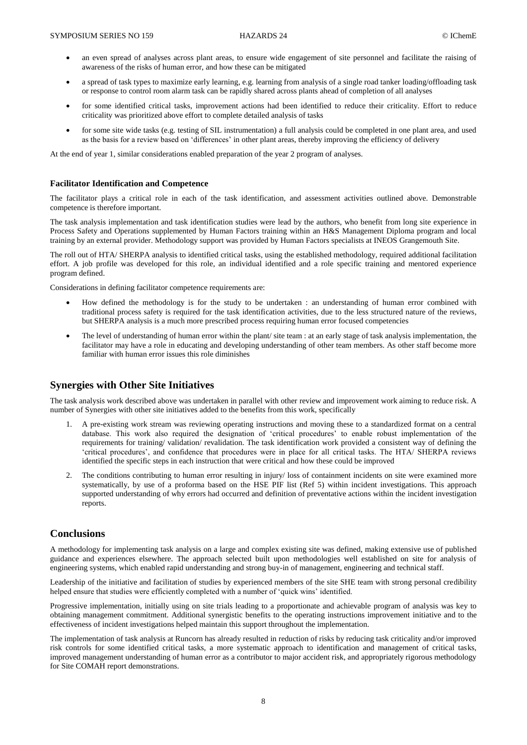- an even spread of analyses across plant areas, to ensure wide engagement of site personnel and facilitate the raising of awareness of the risks of human error, and how these can be mitigated
- a spread of task types to maximize early learning, e.g. learning from analysis of a single road tanker loading/offloading task or response to control room alarm task can be rapidly shared across plants ahead of completion of all analyses
- for some identified critical tasks, improvement actions had been identified to reduce their criticality. Effort to reduce criticality was prioritized above effort to complete detailed analysis of tasks
- for some site wide tasks (e.g. testing of SIL instrumentation) a full analysis could be completed in one plant area, and used as the basis for a review based on 'differences' in other plant areas, thereby improving the efficiency of delivery

At the end of year 1, similar considerations enabled preparation of the year 2 program of analyses.

#### **Facilitator Identification and Competence**

The facilitator plays a critical role in each of the task identification, and assessment activities outlined above. Demonstrable competence is therefore important.

The task analysis implementation and task identification studies were lead by the authors, who benefit from long site experience in Process Safety and Operations supplemented by Human Factors training within an H&S Management Diploma program and local training by an external provider. Methodology support was provided by Human Factors specialists at INEOS Grangemouth Site.

The roll out of HTA/ SHERPA analysis to identified critical tasks, using the established methodology, required additional facilitation effort. A job profile was developed for this role, an individual identified and a role specific training and mentored experience program defined.

Considerations in defining facilitator competence requirements are:

- How defined the methodology is for the study to be undertaken : an understanding of human error combined with traditional process safety is required for the task identification activities, due to the less structured nature of the reviews, but SHERPA analysis is a much more prescribed process requiring human error focused competencies
- The level of understanding of human error within the plant/ site team : at an early stage of task analysis implementation, the facilitator may have a role in educating and developing understanding of other team members. As other staff become more familiar with human error issues this role diminishes

## **Synergies with Other Site Initiatives**

The task analysis work described above was undertaken in parallel with other review and improvement work aiming to reduce risk. A number of Synergies with other site initiatives added to the benefits from this work, specifically

- 1. A pre-existing work stream was reviewing operating instructions and moving these to a standardized format on a central database. This work also required the designation of 'critical procedures' to enable robust implementation of the requirements for training/ validation/ revalidation. The task identification work provided a consistent way of defining the 'critical procedures', and confidence that procedures were in place for all critical tasks. The HTA/ SHERPA reviews identified the specific steps in each instruction that were critical and how these could be improved
- 2. The conditions contributing to human error resulting in injury/ loss of containment incidents on site were examined more systematically, by use of a proforma based on the HSE PIF list (Ref 5) within incident investigations. This approach supported understanding of why errors had occurred and definition of preventative actions within the incident investigation reports.

## **Conclusions**

A methodology for implementing task analysis on a large and complex existing site was defined, making extensive use of published guidance and experiences elsewhere. The approach selected built upon methodologies well established on site for analysis of engineering systems, which enabled rapid understanding and strong buy-in of management, engineering and technical staff.

Leadership of the initiative and facilitation of studies by experienced members of the site SHE team with strong personal credibility helped ensure that studies were efficiently completed with a number of 'quick wins' identified.

Progressive implementation, initially using on site trials leading to a proportionate and achievable program of analysis was key to obtaining management commitment. Additional synergistic benefits to the operating instructions improvement initiative and to the effectiveness of incident investigations helped maintain this support throughout the implementation.

The implementation of task analysis at Runcorn has already resulted in reduction of risks by reducing task criticality and/or improved risk controls for some identified critical tasks, a more systematic approach to identification and management of critical tasks, improved management understanding of human error as a contributor to major accident risk, and appropriately rigorous methodology for Site COMAH report demonstrations.